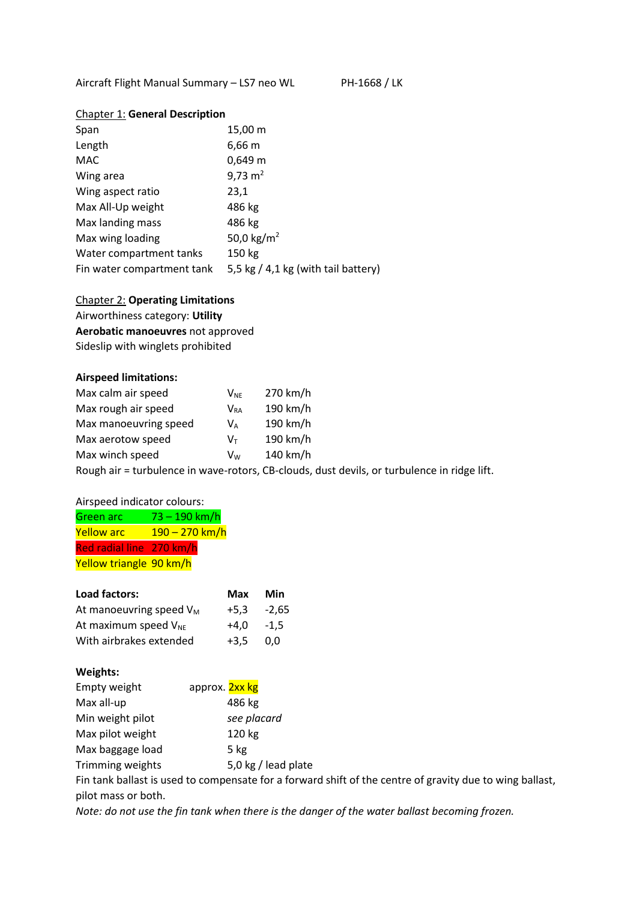Aircraft Flight Manual Summary - LS7 neo WL PH-1668 / LK

# Chapter 1: **General Description**

| Span                       | 15,00 m                               |
|----------------------------|---------------------------------------|
| Length                     | 6,66 m                                |
| <b>MAC</b>                 | 0,649 m                               |
| Wing area                  | 9,73 $m2$                             |
| Wing aspect ratio          | 23,1                                  |
| Max All-Up weight          | 486 kg                                |
| Max landing mass           | 486 kg                                |
| Max wing loading           | 50,0 kg/m <sup>2</sup>                |
| Water compartment tanks    | 150 kg                                |
| Fin water compartment tank | 5,5 kg $/$ 4,1 kg (with tail battery) |

Chapter 2: **Operating Limitations** Airworthiness category: **Utility Aerobatic manoeuvres** not approved Sideslip with winglets prohibited

#### **Airspeed limitations:**

| Max calm air speed    | $V_{NF}$ | 270 km/h |
|-----------------------|----------|----------|
| Max rough air speed   | Vra      | 190 km/h |
| Max manoeuvring speed | V۵       | 190 km/h |
| Max aerotow speed     | Vт       | 190 km/h |
| Max winch speed       | Vw       | 140 km/h |
|                       |          |          |

Rough air = turbulence in wave-rotors, CB-clouds, dust devils, or turbulence in ridge lift.

### Airspeed indicator colours:

| Green arc                | 73 – 190 km/h         |
|--------------------------|-----------------------|
| <b>Yellow arc</b>        | <u>190 – 270 km/h</u> |
| Red radial line 270 km/h |                       |
| Yellow triangle 90 km/h  |                       |

| Load factors:              | Max    | Min    |
|----------------------------|--------|--------|
| At manoeuvring speed $V_M$ | $+5.3$ | -2.65  |
| At maximum speed $V_{NE}$  | $+4.0$ | $-1.5$ |
| With airbrakes extended    | $+3.5$ | 0.0    |

#### **Weights:**

| Empty weight     | approx. 2xx kg                                       |
|------------------|------------------------------------------------------|
| Max all-up       | 486 kg                                               |
| Min weight pilot | see placard                                          |
| Max pilot weight | 120 kg                                               |
| Max baggage load | 5 kg                                                 |
| Trimming weights | 5,0 kg / lead plate                                  |
|                  | Fig taple hallest is used to components for a famuou |

Fin tank ballast is used to compensate for a forward shift of the centre of gravity due to wing ballast, pilot mass or both.

*Note: do not use the fin tank when there is the danger of the water ballast becoming frozen.*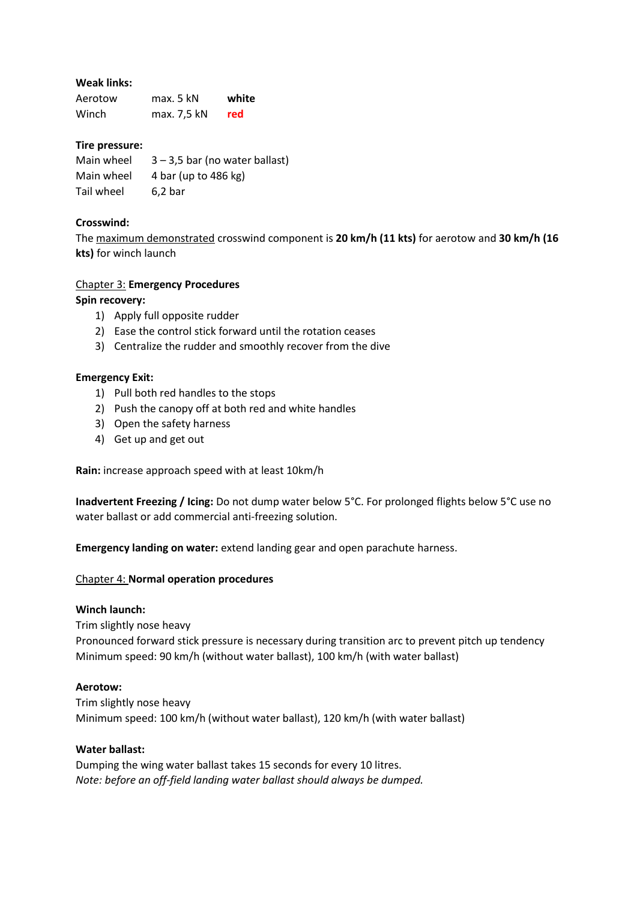# **Weak links:**

| Aerotow | max. 5 kN   | white |
|---------|-------------|-------|
| Winch   | max. 7,5 kN | red   |

## **Tire pressure:**

| Main wheel | $3 - 3.5$ bar (no water ballast) |
|------------|----------------------------------|
| Main wheel | 4 bar (up to 486 kg)             |
| Tail wheel | $6,2$ bar                        |

# **Crosswind:**

The maximum demonstrated crosswind component is **20 km/h (11 kts)** for aerotow and **30 km/h (16 kts)** for winch launch

# Chapter 3: **Emergency Procedures**

# **Spin recovery:**

- 1) Apply full opposite rudder
- 2) Ease the control stick forward until the rotation ceases
- 3) Centralize the rudder and smoothly recover from the dive

### **Emergency Exit:**

- 1) Pull both red handles to the stops
- 2) Push the canopy off at both red and white handles
- 3) Open the safety harness
- 4) Get up and get out

**Rain:** increase approach speed with at least 10km/h

**Inadvertent Freezing / Icing:** Do not dump water below 5°C. For prolonged flights below 5°C use no water ballast or add commercial anti-freezing solution.

**Emergency landing on water:** extend landing gear and open parachute harness.

### Chapter 4: **Normal operation procedures**

### **Winch launch:**

Trim slightly nose heavy Pronounced forward stick pressure is necessary during transition arc to prevent pitch up tendency Minimum speed: 90 km/h (without water ballast), 100 km/h (with water ballast)

### **Aerotow:**

Trim slightly nose heavy Minimum speed: 100 km/h (without water ballast), 120 km/h (with water ballast)

### **Water ballast:**

Dumping the wing water ballast takes 15 seconds for every 10 litres. *Note: before an off-field landing water ballast should always be dumped.*